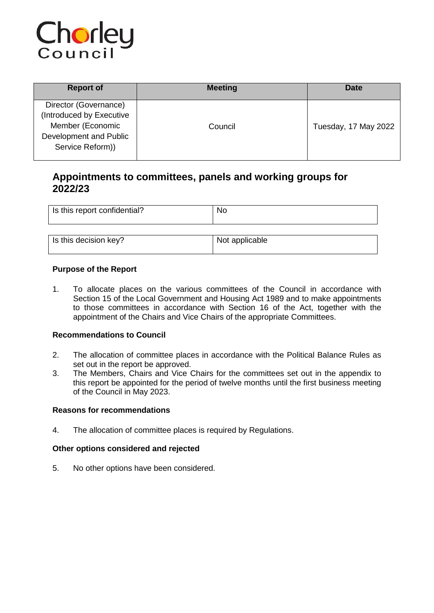

| <b>Report of</b>                             | <b>Meeting</b> | Date                 |
|----------------------------------------------|----------------|----------------------|
| Director (Governance)                        |                |                      |
| (Introduced by Executive<br>Member (Economic | Council        | Tuesday, 17 May 2022 |
| Development and Public<br>Service Reform))   |                |                      |

# **Appointments to committees, panels and working groups for 2022/23**

| Is this report confidential? | <b>No</b>      |
|------------------------------|----------------|
|                              |                |
| Is this decision key?        | Not applicable |

#### **Purpose of the Report**

1. To allocate places on the various committees of the Council in accordance with Section 15 of the Local Government and Housing Act 1989 and to make appointments to those committees in accordance with Section 16 of the Act, together with the appointment of the Chairs and Vice Chairs of the appropriate Committees.

#### **Recommendations to Council**

- 2. The allocation of committee places in accordance with the Political Balance Rules as set out in the report be approved.
- 3. The Members, Chairs and Vice Chairs for the committees set out in the appendix to this report be appointed for the period of twelve months until the first business meeting of the Council in May 2023.

#### **Reasons for recommendations**

4. The allocation of committee places is required by Regulations.

#### **Other options considered and rejected**

5. No other options have been considered.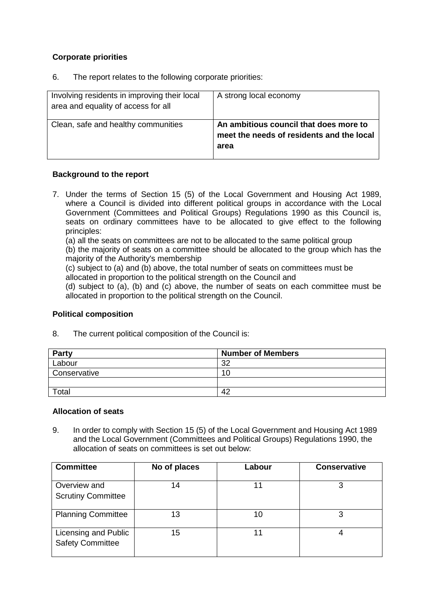# **Corporate priorities**

6. The report relates to the following corporate priorities:

| Involving residents in improving their local<br>area and equality of access for all | A strong local economy                                                                      |
|-------------------------------------------------------------------------------------|---------------------------------------------------------------------------------------------|
| Clean, safe and healthy communities                                                 | An ambitious council that does more to<br>meet the needs of residents and the local<br>area |

## **Background to the report**

7. Under the terms of Section 15 (5) of the Local Government and Housing Act 1989, where a Council is divided into different political groups in accordance with the Local Government (Committees and Political Groups) Regulations 1990 as this Council is, seats on ordinary committees have to be allocated to give effect to the following principles:

(a) all the seats on committees are not to be allocated to the same political group

(b) the majority of seats on a committee should be allocated to the group which has the majority of the Authority's membership

(c) subject to (a) and (b) above, the total number of seats on committees must be allocated in proportion to the political strength on the Council and

(d) subject to (a), (b) and (c) above, the number of seats on each committee must be allocated in proportion to the political strength on the Council.

## **Political composition**

8. The current political composition of the Council is:

| <b>Party</b> | <b>Number of Members</b> |
|--------------|--------------------------|
| Labour       | າາ<br>ےت                 |
| Conservative | 10                       |
|              |                          |
| Total        | 42                       |

### **Allocation of seats**

9. In order to comply with Section 15 (5) of the Local Government and Housing Act 1989 and the Local Government (Committees and Political Groups) Regulations 1990, the allocation of seats on committees is set out below:

| <b>Committee</b>                                | No of places | Labour | <b>Conservative</b> |
|-------------------------------------------------|--------------|--------|---------------------|
| Overview and<br><b>Scrutiny Committee</b>       | 14           |        |                     |
| <b>Planning Committee</b>                       | 13           | 10     | З                   |
| Licensing and Public<br><b>Safety Committee</b> | 15           |        |                     |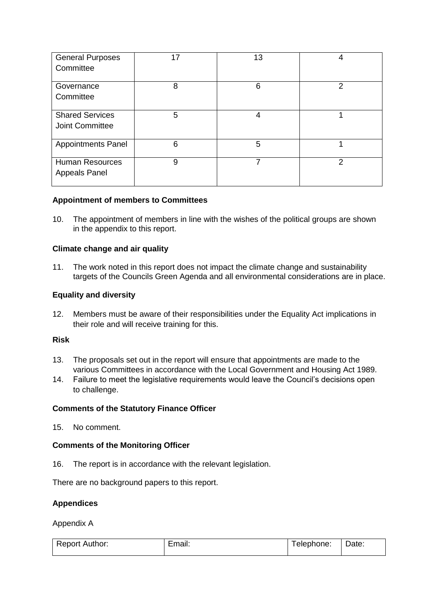| <b>General Purposes</b><br>Committee           | 17 | 13 |   |
|------------------------------------------------|----|----|---|
| Governance<br>Committee                        | 8  | 6  | 2 |
| <b>Shared Services</b><br>Joint Committee      | 5  | 4  |   |
| <b>Appointments Panel</b>                      | 6  | 5  |   |
| <b>Human Resources</b><br><b>Appeals Panel</b> | 9  | 7  | 2 |

## **Appointment of members to Committees**

10. The appointment of members in line with the wishes of the political groups are shown in the appendix to this report.

#### **Climate change and air quality**

11. The work noted in this report does not impact the climate change and sustainability targets of the Councils Green Agenda and all environmental considerations are in place.

#### **Equality and diversity**

12. Members must be aware of their responsibilities under the Equality Act implications in their role and will receive training for this.

### **Risk**

- 13. The proposals set out in the report will ensure that appointments are made to the various Committees in accordance with the Local Government and Housing Act 1989.
- 14. Failure to meet the legislative requirements would leave the Council's decisions open to challenge.

#### **Comments of the Statutory Finance Officer**

15. No comment.

#### **Comments of the Monitoring Officer**

16. The report is in accordance with the relevant legislation.

There are no background papers to this report.

#### **Appendices**

Appendix A

| <b>Report Author:</b> | Email: | Telephone: | Date: |
|-----------------------|--------|------------|-------|
|                       |        |            |       |